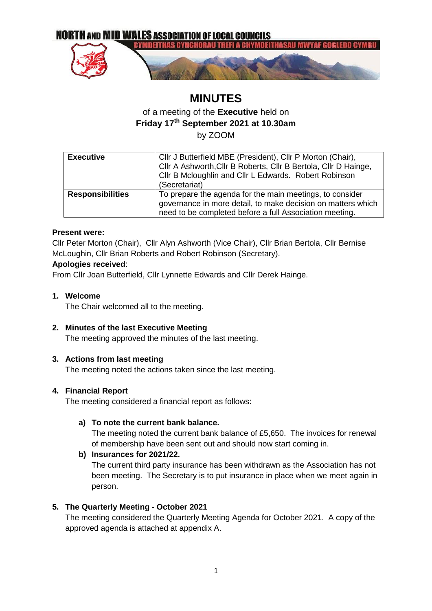

# **MINUTES**

# of a meeting of the **Executive** held on **Friday 17th September 2021 at 10.30am** by ZOOM

| <b>Executive</b>        | Cllr J Butterfield MBE (President), Cllr P Morton (Chair),<br>Cllr A Ashworth, Cllr B Roberts, Cllr B Bertola, Cllr D Hainge,<br>Cllr B Mcloughlin and Cllr L Edwards. Robert Robinson<br>(Secretariat) |  |
|-------------------------|---------------------------------------------------------------------------------------------------------------------------------------------------------------------------------------------------------|--|
| <b>Responsibilities</b> | To prepare the agenda for the main meetings, to consider<br>governance in more detail, to make decision on matters which<br>need to be completed before a full Association meeting.                     |  |

### **Present were:**

Cllr Peter Morton (Chair), Cllr Alyn Ashworth (Vice Chair), Cllr Brian Bertola, Cllr Bernise McLoughin, Cllr Brian Roberts and Robert Robinson (Secretary).

### **Apologies received**:

From Cllr Joan Butterfield, Cllr Lynnette Edwards and Cllr Derek Hainge.

#### **1. Welcome**

The Chair welcomed all to the meeting.

### **2. Minutes of the last Executive Meeting**

The meeting approved the minutes of the last meeting.

### **3. Actions from last meeting**

The meeting noted the actions taken since the last meeting.

### **4. Financial Report**

The meeting considered a financial report as follows:

### **a) To note the current bank balance.**

The meeting noted the current bank balance of £5,650. The invoices for renewal of membership have been sent out and should now start coming in.

### **b) Insurances for 2021/22.**

The current third party insurance has been withdrawn as the Association has not been meeting. The Secretary is to put insurance in place when we meet again in person.

### **5. The Quarterly Meeting - October 2021**

The meeting considered the Quarterly Meeting Agenda for October 2021. A copy of the approved agenda is attached at appendix A.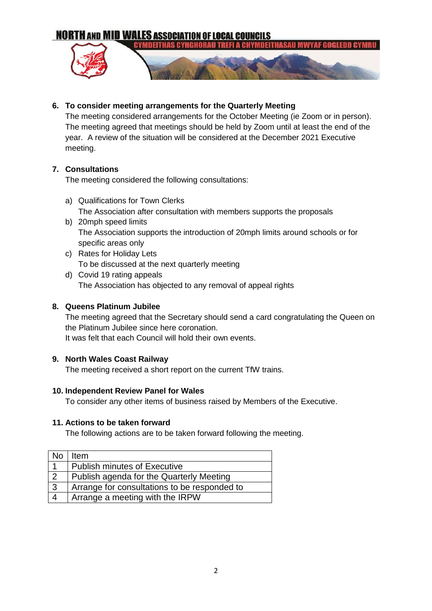**NORTH AND MID WALES ASSOCIATION OF LOCAL COUNCILS** 



### **6. To consider meeting arrangements for the Quarterly Meeting**

The meeting considered arrangements for the October Meeting (ie Zoom or in person). The meeting agreed that meetings should be held by Zoom until at least the end of the year. A review of the situation will be considered at the December 2021 Executive meeting.

#### **7. Consultations**

The meeting considered the following consultations:

- a) Qualifications for Town Clerks The Association after consultation with members supports the proposals
- b) 20mph speed limits The Association supports the introduction of 20mph limits around schools or for specific areas only
- c) Rates for Holiday Lets To be discussed at the next quarterly meeting
- d) Covid 19 rating appeals The Association has objected to any removal of appeal rights

### **8. Queens Platinum Jubilee**

The meeting agreed that the Secretary should send a card congratulating the Queen on the Platinum Jubilee since here coronation. It was felt that each Council will hold their own events.

#### **9. North Wales Coast Railway**

The meeting received a short report on the current TfW trains.

#### **10. Independent Review Panel for Wales**

To consider any other items of business raised by Members of the Executive.

#### **11. Actions to be taken forward**

The following actions are to be taken forward following the meeting.

| <b>No</b>      | Item                                         |
|----------------|----------------------------------------------|
|                | <b>Publish minutes of Executive</b>          |
| $\overline{2}$ | Publish agenda for the Quarterly Meeting     |
| $\overline{3}$ | Arrange for consultations to be responded to |
| $\overline{4}$ | Arrange a meeting with the IRPW              |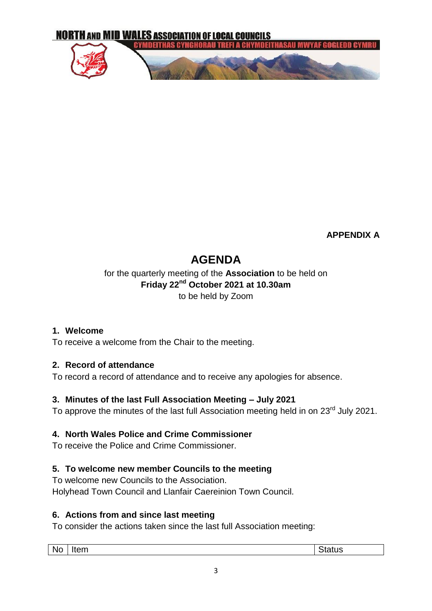

**APPENDIX A**

# **AGENDA**

# for the quarterly meeting of the **Association** to be held on **Friday 22nd October 2021 at 10.30am** to be held by Zoom

# **1. Welcome**

To receive a welcome from the Chair to the meeting.

# **2. Record of attendance**

To record a record of attendance and to receive any apologies for absence.

# **3. Minutes of the last Full Association Meeting – July 2021**

To approve the minutes of the last full Association meeting held in on 23<sup>rd</sup> July 2021.

# **4. North Wales Police and Crime Commissioner**

To receive the Police and Crime Commissioner.

# **5. To welcome new member Councils to the meeting**

To welcome new Councils to the Association. Holyhead Town Council and Llanfair Caereinion Town Council.

# **6. Actions from and since last meeting**

To consider the actions taken since the last full Association meeting: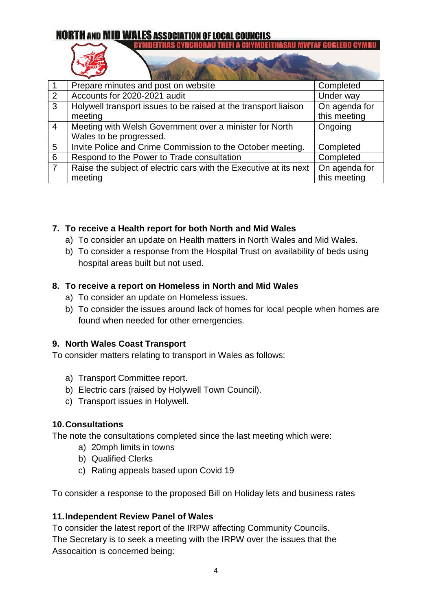# **NORTH AND MID WALES ASSOCIATION OF LOCAL COUNCILS CYMDEITHAS CYNGHORAU TREFI A CHYMDEITHASAU MWYAF GOGLEDD CYMRU**

| $\overline{1}$ | Prepare minutes and post on website                                                | Completed                     |
|----------------|------------------------------------------------------------------------------------|-------------------------------|
| 2              | Accounts for 2020-2021 audit                                                       | Under way                     |
| $\overline{3}$ | Holywell transport issues to be raised at the transport liaison<br>meeting         | On agenda for<br>this meeting |
| $\overline{4}$ | Meeting with Welsh Government over a minister for North<br>Wales to be progressed. | Ongoing                       |
| 5              | Invite Police and Crime Commission to the October meeting.                         | Completed                     |
| 6              | Respond to the Power to Trade consultation                                         | Completed                     |
| $\overline{7}$ | Raise the subject of electric cars with the Executive at its next<br>meeting       | On agenda for<br>this meeting |

# **7. To receive a Health report for both North and Mid Wales**

- a) To consider an update on Health matters in North Wales and Mid Wales.
- b) To consider a response from the Hospital Trust on availability of beds using hospital areas built but not used.

# **8. To receive a report on Homeless in North and Mid Wales**

- a) To consider an update on Homeless issues.
- b) To consider the issues around lack of homes for local people when homes are found when needed for other emergencies.

# **9. North Wales Coast Transport**

To consider matters relating to transport in Wales as follows:

- a) Transport Committee report.
- b) Electric cars (raised by Holywell Town Council).
- c) Transport issues in Holywell.

# **10.Consultations**

The note the consultations completed since the last meeting which were:

- a) 20mph limits in towns
- b) Qualified Clerks
- c) Rating appeals based upon Covid 19

To consider a response to the proposed Bill on Holiday lets and business rates

# **11.Independent Review Panel of Wales**

To consider the latest report of the IRPW affecting Community Councils. The Secretary is to seek a meeting with the IRPW over the issues that the Assocaition is concerned being: